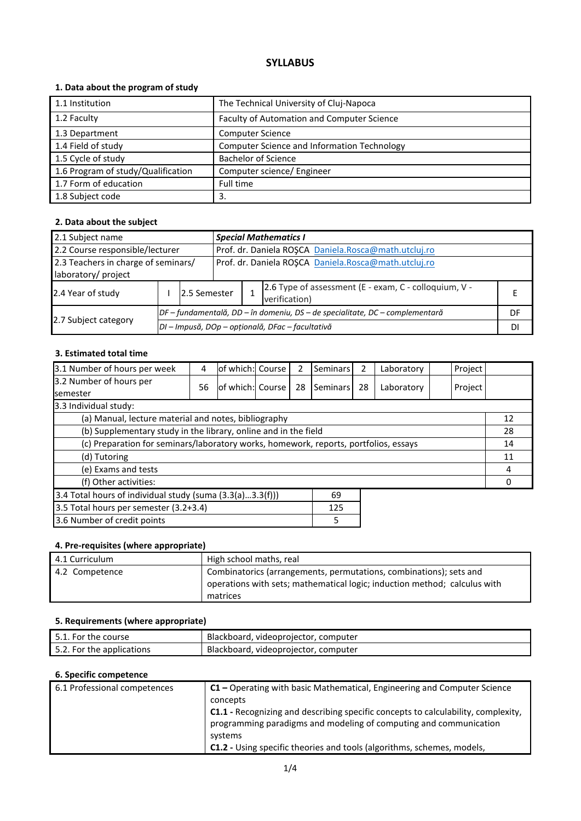## **SYLLABUS**

## **1. Data about the program of study**

| 1.1 Institution                    | The Technical University of Cluj-Napoca     |
|------------------------------------|---------------------------------------------|
| 1.2 Faculty                        | Faculty of Automation and Computer Science  |
| 1.3 Department                     | <b>Computer Science</b>                     |
| 1.4 Field of study                 | Computer Science and Information Technology |
| 1.5 Cycle of study                 | <b>Bachelor of Science</b>                  |
| 1.6 Program of study/Qualification | Computer science/ Engineer                  |
| 1.7 Form of education              | Full time                                   |
| 1.8 Subject code                   | 3.                                          |

## **2. Data about the subject**

| 2.1 Subject name                                                                        |  |                                                                              |                                                      | <b>Special Mathematics I</b> |                                                                        |    |  |  |
|-----------------------------------------------------------------------------------------|--|------------------------------------------------------------------------------|------------------------------------------------------|------------------------------|------------------------------------------------------------------------|----|--|--|
| Prof. dr. Daniela ROȘCA Daniela.Rosca@math.utcluj.ro<br>2.2 Course responsible/lecturer |  |                                                                              |                                                      |                              |                                                                        |    |  |  |
| 2.3 Teachers in charge of seminars/<br>laboratory/ project                              |  |                                                                              | Prof. dr. Daniela ROȘCA Daniela.Rosca@math.utcluj.ro |                              |                                                                        |    |  |  |
| 2.4 Year of study                                                                       |  | 2.5 Semester                                                                 |                                                      |                              | 2.6 Type of assessment (E - exam, C - colloquium, V -<br>verification) |    |  |  |
|                                                                                         |  | DF – fundamentală, DD – în domeniu, DS – de specialitate, DC – complementară |                                                      |                              |                                                                        | DF |  |  |
| 2.7 Subject category                                                                    |  | DI - Impusă, DOp - opțională, DFac - facultativă                             |                                                      |                              |                                                                        |    |  |  |

#### **3. Estimated total time**

| 3.1 Number of hours per week                                                         | 4  | lof which: Course |  | 2  | Seminars | 2  | Laboratory | Project |    |
|--------------------------------------------------------------------------------------|----|-------------------|--|----|----------|----|------------|---------|----|
| 3.2 Number of hours per<br><b>semester</b>                                           | 56 | of which: Course  |  | 28 | Seminars | 28 | Laboratory | Project |    |
| 3.3 Individual study:                                                                |    |                   |  |    |          |    |            |         |    |
| (a) Manual, lecture material and notes, bibliography                                 |    |                   |  |    |          |    |            |         | 12 |
| (b) Supplementary study in the library, online and in the field                      |    |                   |  |    |          |    | 28         |         |    |
| (c) Preparation for seminars/laboratory works, homework, reports, portfolios, essays |    |                   |  |    |          | 14 |            |         |    |
| (d) Tutoring                                                                         |    |                   |  |    |          |    | 11         |         |    |
| (e) Exams and tests                                                                  |    |                   |  |    |          |    | 4          |         |    |
| (f) Other activities:                                                                |    |                   |  |    |          |    |            |         |    |
| 3.4 Total hours of individual study (suma (3.3(a)3.3(f)))<br>69                      |    |                   |  |    |          |    |            |         |    |
| 3.5 Total hours per semester (3.2+3.4)<br>125                                        |    |                   |  |    |          |    |            |         |    |
| 3.6 Number of credit points<br>5                                                     |    |                   |  |    |          |    |            |         |    |

## **4. Pre-requisites (where appropriate)**

| 4.1 Curriculum | High school maths, real                                                                                                                                     |
|----------------|-------------------------------------------------------------------------------------------------------------------------------------------------------------|
| 4.2 Competence | Combinatorics (arrangements, permutations, combinations); sets and<br>operations with sets; mathematical logic; induction method; calculus with<br>matrices |

#### **5. Requirements (where appropriate)**

| 5.1. For the course       | Blackboard, videoprojector, computer |
|---------------------------|--------------------------------------|
| 5.2. For the applications | Blackboard, videoprojector, computer |

#### **6. Specific competence**

| 6.1 Professional competences | $C1$ – Operating with basic Mathematical, Engineering and Computer Science<br>concepts                                                                        |
|------------------------------|---------------------------------------------------------------------------------------------------------------------------------------------------------------|
|                              | <b>C1.1</b> - Recognizing and describing specific concepts to calculability, complexity,<br>programming paradigms and modeling of computing and communication |
|                              | systems                                                                                                                                                       |
|                              | C1.2 - Using specific theories and tools (algorithms, schemes, models,                                                                                        |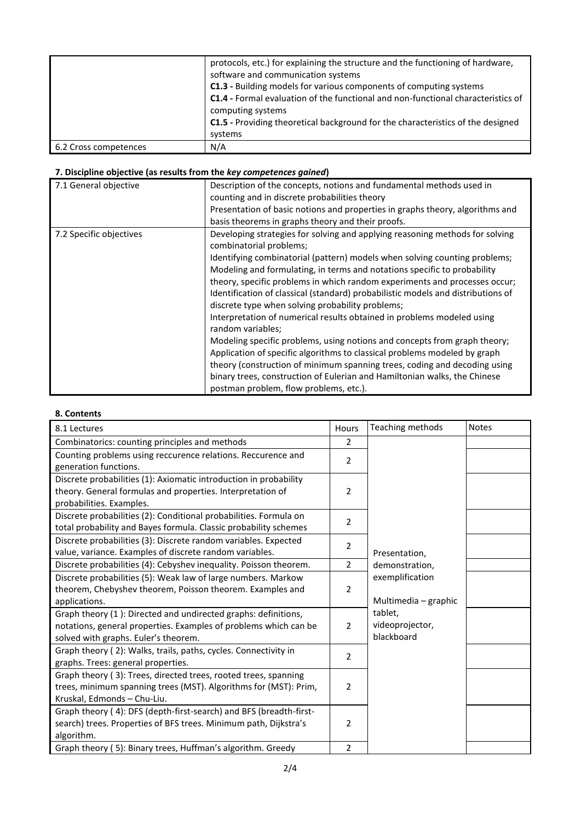|                       | protocols, etc.) for explaining the structure and the functioning of hardware,<br>software and communication systems<br>C1.3 - Building models for various components of computing systems<br><b>C1.4</b> - Formal evaluation of the functional and non-functional characteristics of<br>computing systems<br>C1.5 - Providing theoretical background for the characteristics of the designed<br>systems |
|-----------------------|----------------------------------------------------------------------------------------------------------------------------------------------------------------------------------------------------------------------------------------------------------------------------------------------------------------------------------------------------------------------------------------------------------|
| 6.2 Cross competences | N/A                                                                                                                                                                                                                                                                                                                                                                                                      |

# **7. Discipline objective (as results from the** *key competences gained***)**

| 7.1 General objective   | Description of the concepts, notions and fundamental methods used in<br>counting and in discrete probabilities theory<br>Presentation of basic notions and properties in graphs theory, algorithms and<br>basis theorems in graphs theory and their proofs.                                                                                                                                                                                                                                                                                                                                                                                                                                                                                                                                                                                                                                                                                          |
|-------------------------|------------------------------------------------------------------------------------------------------------------------------------------------------------------------------------------------------------------------------------------------------------------------------------------------------------------------------------------------------------------------------------------------------------------------------------------------------------------------------------------------------------------------------------------------------------------------------------------------------------------------------------------------------------------------------------------------------------------------------------------------------------------------------------------------------------------------------------------------------------------------------------------------------------------------------------------------------|
| 7.2 Specific objectives | Developing strategies for solving and applying reasoning methods for solving<br>combinatorial problems;<br>Identifying combinatorial (pattern) models when solving counting problems;<br>Modeling and formulating, in terms and notations specific to probability<br>theory, specific problems in which random experiments and processes occur;<br>Identification of classical (standard) probabilistic models and distributions of<br>discrete type when solving probability problems;<br>Interpretation of numerical results obtained in problems modeled using<br>random variables;<br>Modeling specific problems, using notions and concepts from graph theory;<br>Application of specific algorithms to classical problems modeled by graph<br>theory (construction of minimum spanning trees, coding and decoding using<br>binary trees, construction of Eulerian and Hamiltonian walks, the Chinese<br>postman problem, flow problems, etc.). |

## **8. Contents**

| 8.1 Lectures                                                       | Hours          | Teaching methods     | <b>Notes</b> |
|--------------------------------------------------------------------|----------------|----------------------|--------------|
| Combinatorics: counting principles and methods                     | 2              |                      |              |
| Counting problems using reccurence relations. Reccurence and       | $\overline{2}$ |                      |              |
| generation functions.                                              |                |                      |              |
| Discrete probabilities (1): Axiomatic introduction in probability  |                |                      |              |
| theory. General formulas and properties. Interpretation of         | 2              |                      |              |
| probabilities. Examples.                                           |                |                      |              |
| Discrete probabilities (2): Conditional probabilities. Formula on  | $\overline{2}$ |                      |              |
| total probability and Bayes formula. Classic probability schemes   |                |                      |              |
| Discrete probabilities (3): Discrete random variables. Expected    | 2              |                      |              |
| value, variance. Examples of discrete random variables.            |                | Presentation,        |              |
| Discrete probabilities (4): Cebyshev inequality. Poisson theorem.  | $\overline{2}$ | demonstration,       |              |
| Discrete probabilities (5): Weak law of large numbers. Markow      |                | exemplification      |              |
| theorem, Chebyshev theorem, Poisson theorem. Examples and          | 2              |                      |              |
| applications.                                                      |                | Multimedia - graphic |              |
| Graph theory (1): Directed and undirected graphs: definitions,     |                | tablet,              |              |
| notations, general properties. Examples of problems which can be   | 2              | videoprojector,      |              |
| solved with graphs. Euler's theorem.                               |                | blackboard           |              |
| Graph theory (2): Walks, trails, paths, cycles. Connectivity in    | $\overline{2}$ |                      |              |
| graphs. Trees: general properties.                                 |                |                      |              |
| Graph theory (3): Trees, directed trees, rooted trees, spanning    |                |                      |              |
| trees, minimum spanning trees (MST). Algorithms for (MST): Prim,   | $\overline{2}$ |                      |              |
| Kruskal, Edmonds - Chu-Liu.                                        |                |                      |              |
| Graph theory (4): DFS (depth-first-search) and BFS (breadth-first- |                |                      |              |
| search) trees. Properties of BFS trees. Minimum path, Dijkstra's   | 2              |                      |              |
| algorithm.                                                         |                |                      |              |
| Graph theory (5): Binary trees, Huffman's algorithm. Greedy        | $\overline{2}$ |                      |              |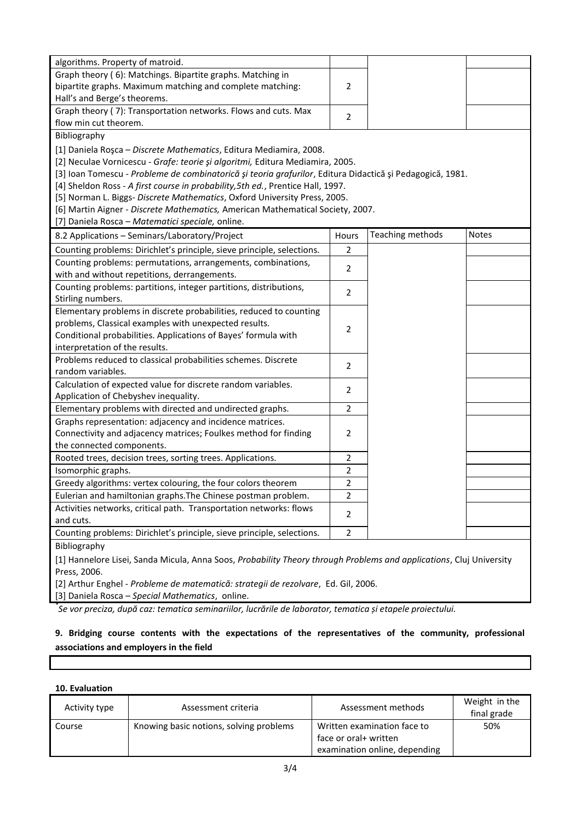| algorithms. Property of matroid.                                                                          |                |                  |              |  |
|-----------------------------------------------------------------------------------------------------------|----------------|------------------|--------------|--|
| Graph theory (6): Matchings. Bipartite graphs. Matching in                                                |                |                  |              |  |
| bipartite graphs. Maximum matching and complete matching:                                                 | $\overline{2}$ |                  |              |  |
| Hall's and Berge's theorems.                                                                              |                |                  |              |  |
| Graph theory (7): Transportation networks. Flows and cuts. Max                                            | $\overline{2}$ |                  |              |  |
| flow min cut theorem.                                                                                     |                |                  |              |  |
| Bibliography                                                                                              |                |                  |              |  |
| [1] Daniela Roșca - Discrete Mathematics, Editura Mediamira, 2008.                                        |                |                  |              |  |
| [2] Neculae Vornicescu - Grafe: teorie și algoritmi, Editura Mediamira, 2005.                             |                |                  |              |  |
| [3] Ioan Tomescu - Probleme de combinatorică și teoria grafurilor, Editura Didactică și Pedagogică, 1981. |                |                  |              |  |
| [4] Sheldon Ross - A first course in probability, 5th ed., Prentice Hall, 1997.                           |                |                  |              |  |
| [5] Norman L. Biggs- Discrete Mathematics, Oxford University Press, 2005.                                 |                |                  |              |  |
| [6] Martin Aigner - Discrete Mathematics, American Mathematical Society, 2007.                            |                |                  |              |  |
| [7] Daniela Rosca - Matematici speciale, online.                                                          |                |                  |              |  |
| 8.2 Applications - Seminars/Laboratory/Project                                                            | Hours          | Teaching methods | <b>Notes</b> |  |
| Counting problems: Dirichlet's principle, sieve principle, selections.                                    | 2              |                  |              |  |
| Counting problems: permutations, arrangements, combinations,                                              | $\overline{2}$ |                  |              |  |
| with and without repetitions, derrangements.                                                              |                |                  |              |  |
| Counting problems: partitions, integer partitions, distributions,                                         | 2              |                  |              |  |
| Stirling numbers.                                                                                         |                |                  |              |  |
| Elementary problems in discrete probabilities, reduced to counting                                        |                |                  |              |  |
| problems, Classical examples with unexpected results.                                                     | 2              |                  |              |  |
| Conditional probabilities. Applications of Bayes' formula with                                            |                |                  |              |  |
| interpretation of the results.                                                                            |                |                  |              |  |
| Problems reduced to classical probabilities schemes. Discrete                                             | 2              |                  |              |  |
| random variables.                                                                                         |                |                  |              |  |
| Calculation of expected value for discrete random variables.                                              | 2              |                  |              |  |
| Application of Chebyshev inequality.                                                                      |                |                  |              |  |
| Elementary problems with directed and undirected graphs.                                                  | 2              |                  |              |  |
| Graphs representation: adjacency and incidence matrices.                                                  |                |                  |              |  |
| Connectivity and adjacency matrices; Foulkes method for finding                                           | 2              |                  |              |  |
| the connected components.                                                                                 |                |                  |              |  |
| Rooted trees, decision trees, sorting trees. Applications.                                                | 2              |                  |              |  |
| Isomorphic graphs.                                                                                        | 2              |                  |              |  |
| Greedy algorithms: vertex colouring, the four colors theorem                                              | 2              |                  |              |  |
| Eulerian and hamiltonian graphs. The Chinese postman problem.                                             | $\overline{2}$ |                  |              |  |
| Activities networks, critical path. Transportation networks: flows                                        | 2              |                  |              |  |
| and cuts.                                                                                                 |                |                  |              |  |
| Counting problems: Dirichlet's principle, sieve principle, selections.                                    | $\overline{2}$ |                  |              |  |
|                                                                                                           |                |                  |              |  |

Bibliography

[1] Hannelore Lisei, Sanda Micula, Anna Soos, *Probability Theory through Problems and applications*, Cluj University Press, 2006.

[2] Arthur Enghel - *Probleme de matematică: strategii de rezolvare*, Ed. Gil, 2006.

[3] Daniela Rosca – *Special Mathematics*, online.

*\* Se vor preciza, după caz: tematica seminariilor, lucrările de laborator, tematica și etapele proiectului.*

## **9. Bridging course contents with the expectations of the representatives of the community, professional associations and employers in the field**

## **10. Evaluation**

| Activity type | Assessment criteria                     | Assessment methods                                                                    | Weight in the<br>final grade |
|---------------|-----------------------------------------|---------------------------------------------------------------------------------------|------------------------------|
| Course        | Knowing basic notions, solving problems | Written examination face to<br>face or oral+ written<br>examination online, depending | 50%                          |